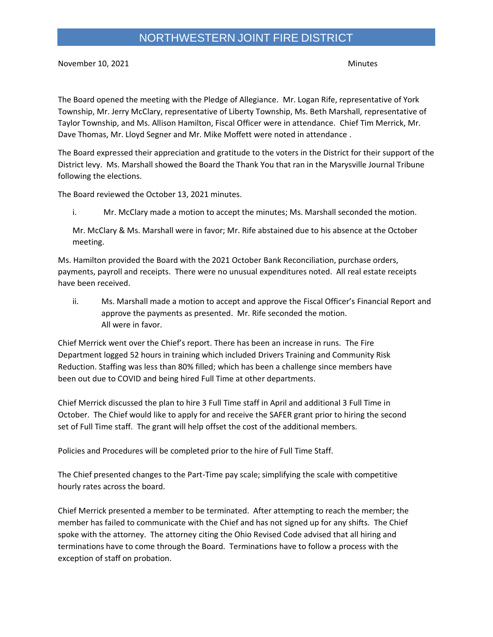## NORTHWESTERN JOINT FIRE DISTRICT

November 10, 2021 and the contract of the contract of the contract of the contract of the contract of the contract of the contract of the contract of the contract of the contract of the contract of the contract of the cont

The Board opened the meeting with the Pledge of Allegiance. Mr. Logan Rife, representative of York Township, Mr. Jerry McClary, representative of Liberty Township, Ms. Beth Marshall, representative of Taylor Township, and Ms. Allison Hamilton, Fiscal Officer were in attendance. Chief Tim Merrick, Mr. Dave Thomas, Mr. Lloyd Segner and Mr. Mike Moffett were noted in attendance .

The Board expressed their appreciation and gratitude to the voters in the District for their support of the District levy. Ms. Marshall showed the Board the Thank You that ran in the Marysville Journal Tribune following the elections.

The Board reviewed the October 13, 2021 minutes.

i. Mr. McClary made a motion to accept the minutes; Ms. Marshall seconded the motion.

Mr. McClary & Ms. Marshall were in favor; Mr. Rife abstained due to his absence at the October meeting.

Ms. Hamilton provided the Board with the 2021 October Bank Reconciliation, purchase orders, payments, payroll and receipts. There were no unusual expenditures noted. All real estate receipts have been received.

ii. Ms. Marshall made a motion to accept and approve the Fiscal Officer's Financial Report and approve the payments as presented. Mr. Rife seconded the motion. All were in favor.

Chief Merrick went over the Chief's report. There has been an increase in runs. The Fire Department logged 52 hours in training which included Drivers Training and Community Risk Reduction. Staffing was less than 80% filled; which has been a challenge since members have been out due to COVID and being hired Full Time at other departments.

Chief Merrick discussed the plan to hire 3 Full Time staff in April and additional 3 Full Time in October. The Chief would like to apply for and receive the SAFER grant prior to hiring the second set of Full Time staff. The grant will help offset the cost of the additional members.

Policies and Procedures will be completed prior to the hire of Full Time Staff.

The Chief presented changes to the Part-Time pay scale; simplifying the scale with competitive hourly rates across the board.

Chief Merrick presented a member to be terminated. After attempting to reach the member; the member has failed to communicate with the Chief and has not signed up for any shifts. The Chief spoke with the attorney. The attorney citing the Ohio Revised Code advised that all hiring and terminations have to come through the Board. Terminations have to follow a process with the exception of staff on probation.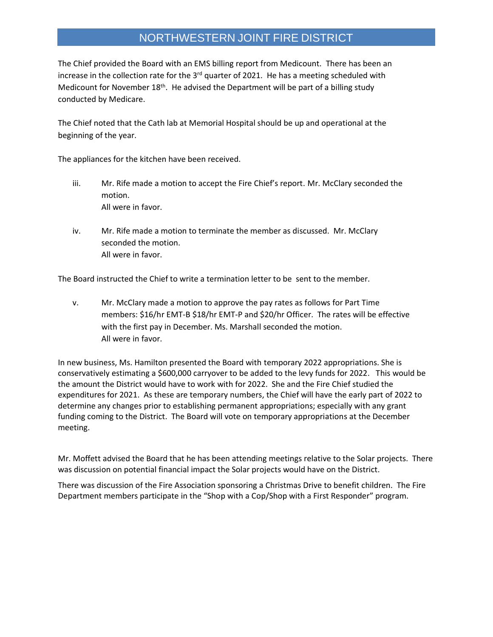## NORTHWESTERN JOINT FIRE DISTRICT

The Chief provided the Board with an EMS billing report from Medicount. There has been an increase in the collection rate for the 3<sup>rd</sup> quarter of 2021. He has a meeting scheduled with Medicount for November  $18<sup>th</sup>$ . He advised the Department will be part of a billing study conducted by Medicare.

The Chief noted that the Cath lab at Memorial Hospital should be up and operational at the beginning of the year.

The appliances for the kitchen have been received.

- iii. Mr. Rife made a motion to accept the Fire Chief's report. Mr. McClary seconded the motion. All were in favor.
- iv. Mr. Rife made a motion to terminate the member as discussed. Mr. McClary seconded the motion. All were in favor.

The Board instructed the Chief to write a termination letter to be sent to the member.

v. Mr. McClary made a motion to approve the pay rates as follows for Part Time members: \$16/hr EMT-B \$18/hr EMT-P and \$20/hr Officer. The rates will be effective with the first pay in December. Ms. Marshall seconded the motion. All were in favor.

In new business, Ms. Hamilton presented the Board with temporary 2022 appropriations. She is conservatively estimating a \$600,000 carryover to be added to the levy funds for 2022. This would be the amount the District would have to work with for 2022. She and the Fire Chief studied the expenditures for 2021. As these are temporary numbers, the Chief will have the early part of 2022 to determine any changes prior to establishing permanent appropriations; especially with any grant funding coming to the District. The Board will vote on temporary appropriations at the December meeting.

Mr. Moffett advised the Board that he has been attending meetings relative to the Solar projects. There was discussion on potential financial impact the Solar projects would have on the District.

There was discussion of the Fire Association sponsoring a Christmas Drive to benefit children. The Fire Department members participate in the "Shop with a Cop/Shop with a First Responder" program.